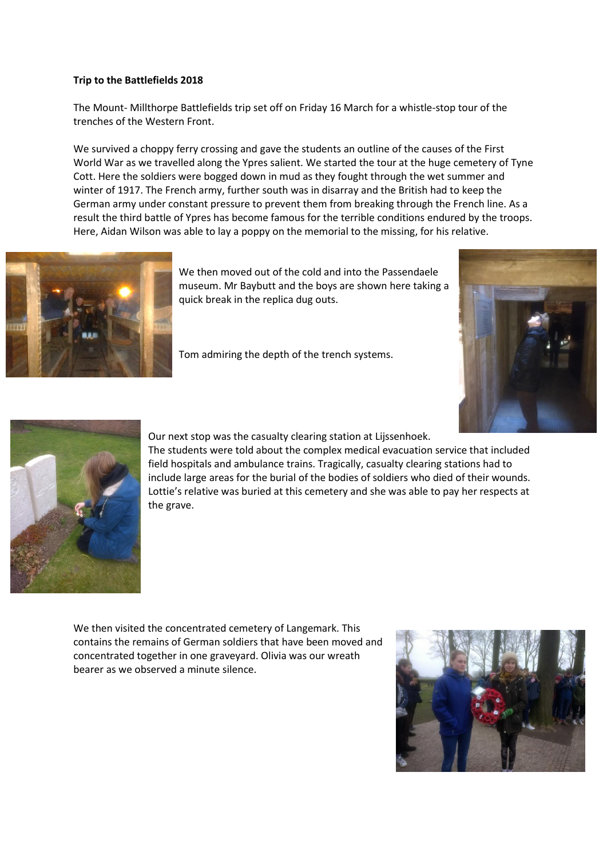## **Trip to the Battlefields 2018**

The Mount- Millthorpe Battlefields trip set off on Friday 16 March for a whistle-stop tour of the trenches of the Western Front.

We survived a choppy ferry crossing and gave the students an outline of the causes of the First World War as we travelled along the Ypres salient. We started the tour at the huge cemetery of Tyne Cott. Here the soldiers were bogged down in mud as they fought through the wet summer and winter of 1917. The French army, further south was in disarray and the British had to keep the German army under constant pressure to prevent them from breaking through the French line. As a result the third battle of Ypres has become famous for the terrible conditions endured by the troops. Here, Aidan Wilson was able to lay a poppy on the memorial to the missing, for his relative.



We then moved out of the cold and into the Passendaele museum. Mr Baybutt and the boys are shown here taking a quick break in the replica dug outs.

Tom admiring the depth of the trench systems.





Our next stop was the casualty clearing station at Lijssenhoek.

The students were told about the complex medical evacuation service that included field hospitals and ambulance trains. Tragically, casualty clearing stations had to include large areas for the burial of the bodies of soldiers who died of their wounds. Lottie's relative was buried at this cemetery and she was able to pay her respects at the grave.

We then visited the concentrated cemetery of Langemark. This contains the remains of German soldiers that have been moved and concentrated together in one graveyard. Olivia was our wreath bearer as we observed a minute silence.

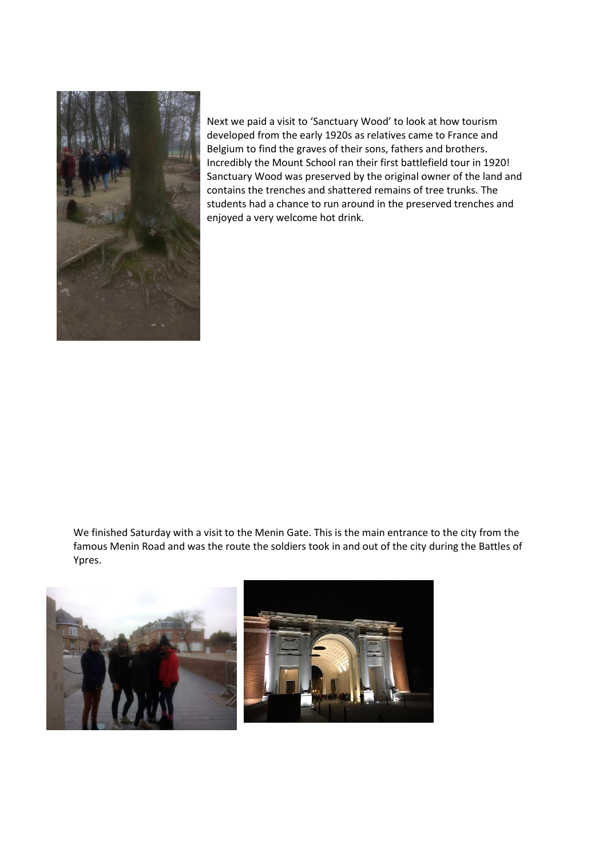

Next we paid a visit to 'Sanctuary Wood' to look at how tourism developed from the early 1920s as relatives came to France and Belgium to find the graves of their sons, fathers and brothers. Incredibly the Mount School ran their first battlefield tour in 1920! Sanctuary Wood was preserved by the original owner of the land and contains the trenches and shattered remains of tree trunks. The students had a chance to run around in the preserved trenches and enjoyed a very welcome hot drink.

We finished Saturday with a visit to the Menin Gate. This is the main entrance to the city from the famous Menin Road and was the route the soldiers took in and out of the city during the Battles of Ypres.

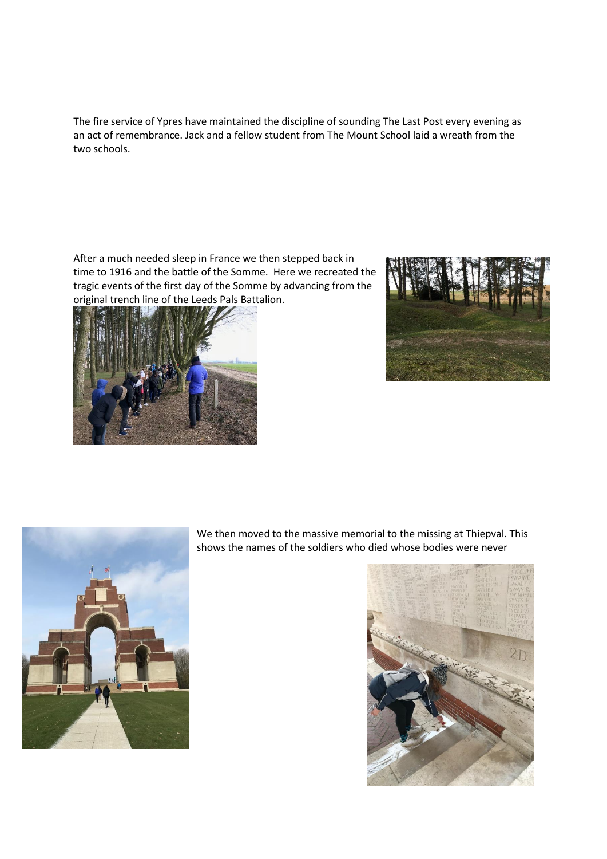The fire service of Ypres have maintained the discipline of sounding The Last Post every evening as an act of remembrance. Jack and a fellow student from The Mount School laid a wreath from the two schools.

After a much needed sleep in France we then stepped back in time to 1916 and the battle of the Somme. Here we recreated the tragic events of the first day of the Somme by advancing from the original trench line of the Leeds Pals Battalion.







We then moved to the massive memorial to the missing at Thiepval. This shows the names of the soldiers who died whose bodies were never

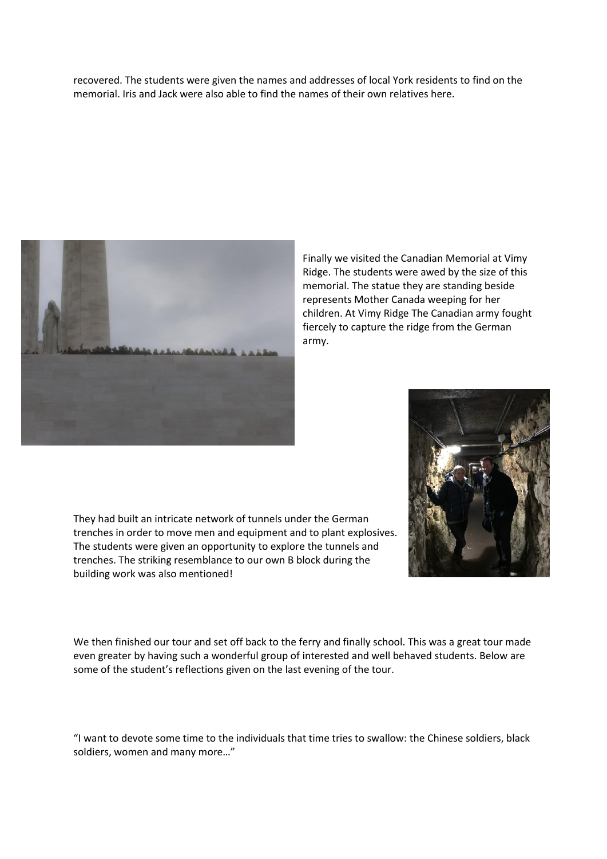recovered. The students were given the names and addresses of local York residents to find on the memorial. Iris and Jack were also able to find the names of their own relatives here.



Finally we visited the Canadian Memorial at Vimy Ridge. The students were awed by the size of this memorial. The statue they are standing beside represents Mother Canada weeping for her children. At Vimy Ridge The Canadian army fought fiercely to capture the ridge from the German army.



They had built an intricate network of tunnels under the German trenches in order to move men and equipment and to plant explosives. The students were given an opportunity to explore the tunnels and trenches. The striking resemblance to our own B block during the building work was also mentioned!

We then finished our tour and set off back to the ferry and finally school. This was a great tour made even greater by having such a wonderful group of interested and well behaved students. Below are some of the student's reflections given on the last evening of the tour.

"I want to devote some time to the individuals that time tries to swallow: the Chinese soldiers, black soldiers, women and many more…"